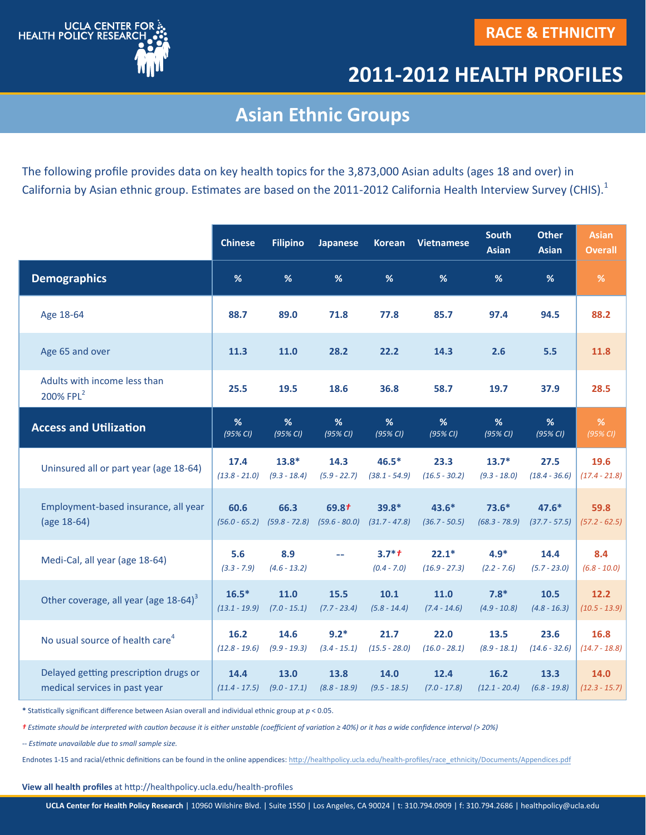

## **2011-2012 HEALTH PROFILES**

## **Asian Ethnic Groups**

The following profile provides data on key health topics for the 3,873,000 Asian adults (ages 18 and over) in California by Asian ethnic group. Estimates are based on the 2011-2012 California Health Interview Survey (CHIS).<sup>1</sup>

|                                                       | <b>Chinese</b>       | <b>Filipino</b>       | <b>Japanese</b> | <b>Korean</b>            | <b>Vietnamese</b>          | <b>South</b><br><b>Asian</b> | <b>Other</b><br><b>Asian</b> | <b>Asian</b><br><b>Overall</b> |
|-------------------------------------------------------|----------------------|-----------------------|-----------------|--------------------------|----------------------------|------------------------------|------------------------------|--------------------------------|
| <b>Demographics</b>                                   | %                    | %                     | %               | %                        | %                          | %                            | %                            | %                              |
| Age 18-64                                             | 88.7                 | 89.0                  | 71.8            | 77.8                     | 85.7                       | 97.4                         | 94.5                         | 88.2                           |
| Age 65 and over                                       | 11.3                 | 11.0                  | 28.2            | 22.2                     | 14.3                       | 2.6                          | 5.5                          | 11.8                           |
| Adults with income less than<br>200% FPL <sup>2</sup> | 25.5                 | 19.5                  | 18.6            | 36.8                     | 58.7                       | 19.7                         | 37.9                         | 28.5                           |
| <b>Access and Utilization</b>                         | %                    | %                     | %               | %                        | %                          | %                            | %                            | %                              |
|                                                       | (95% CI)             | (95% CI)              | (95% CI)        | (95% CI)                 | (95% CI)                   | (95% CI)                     | (95% CI)                     | (95% CI)                       |
| Uninsured all or part year (age 18-64)                | 17.4                 | $13.8*$               | 14.3            | $46.5*$                  | 23.3                       | $13.7*$                      | 27.5                         | 19.6                           |
|                                                       | $(13.8 - 21.0)$      | $(9.3 - 18.4)$        | $(5.9 - 22.7)$  | $(38.1 - 54.9)$          | $(16.5 - 30.2)$            | $(9.3 - 18.0)$               | $(18.4 - 36.6)$              | $(17.4 - 21.8)$                |
| Employment-based insurance, all year                  | 60.6                 | 66.3                  | 69.8t           | $39.8*$                  | $43.6*$                    | $73.6*$                      | $47.6*$                      | 59.8                           |
| (age 18-64)                                           | $(56.0 - 65.2)$      | $(59.8 - 72.8)$       | $(59.6 - 80.0)$ | $(31.7 - 47.8)$          | $(36.7 - 50.5)$            | $(68.3 - 78.9)$              | $(37.7 - 57.5)$              | $(57.2 - 62.5)$                |
| Medi-Cal, all year (age 18-64)                        | 5.6<br>$(3.3 - 7.9)$ | 8.9<br>$(4.6 - 13.2)$ | 44              | $3.7*+$<br>$(0.4 - 7.0)$ | $22.1*$<br>$(16.9 - 27.3)$ | $4.9*$<br>$(2.2 - 7.6)$      | 14.4<br>$(5.7 - 23.0)$       | 8.4<br>$(6.8 - 10.0)$          |
| Other coverage, all year (age 18-64) <sup>3</sup>     | $16.5*$              | 11.0                  | 15.5            | 10.1                     | 11.0                       | $7.8*$                       | 10.5                         | 12.2                           |
|                                                       | $(13.1 - 19.9)$      | $(7.0 - 15.1)$        | $(7.7 - 23.4)$  | $(5.8 - 14.4)$           | $(7.4 - 14.6)$             | $(4.9 - 10.8)$               | $(4.8 - 16.3)$               | $(10.5 - 13.9)$                |
| No usual source of health care <sup>4</sup>           | 16.2                 | 14.6                  | $9.2*$          | 21.7                     | 22.0                       | 13.5                         | 23.6                         | 16.8                           |
|                                                       | $(12.8 - 19.6)$      | $(9.9 - 19.3)$        | $(3.4 - 15.1)$  | $(15.5 - 28.0)$          | $(16.0 - 28.1)$            | $(8.9 - 18.1)$               | $(14.6 - 32.6)$              | $(14.7 - 18.8)$                |
| Delayed getting prescription drugs or                 | 14.4                 | 13.0                  | 13.8            | 14.0                     | 12.4                       | 16.2                         | 13.3                         | 14.0                           |
| medical services in past year                         | $(11.4 - 17.5)$      | $(9.0 - 17.1)$        | $(8.8 - 18.9)$  | $(9.5 - 18.5)$           | $(7.0 - 17.8)$             | $(12.1 - 20.4)$              | $(6.8 - 19.8)$               | $(12.3 - 15.7)$                |

**\*** Statistically significant difference between Asian overall and individual ethnic group at *p* < 0.05.

*† Estimate should be interpreted with caution because it is either unstable (coefficient of variation ≥ 40%) or it has a wide confidence interval ( 20%)*

*-- Estimate unavailable due to small sample size.*

Endnotes 1-15 and racial/ethnic definitions can be found in the online appendices: http://healthpolicy.ucla.edu/health-[profiles/race\\_ethnicity/Documents/Appendices.pdf](http://healthpolicy.ucla.edu/health-profiles/race_ethnicity/Documents/Appendices.pdf)

**View all health profiles** at http://healthpolicy.ucla.edu/health-profiles

**UCLA Center for Health Policy Research** | 10960 Wilshire Blvd. | Suite 1550 | Los Angeles, CA 90024 | t: 310.794.0909 | f: 310.794.2686 | healthpolicy@ucla.edu